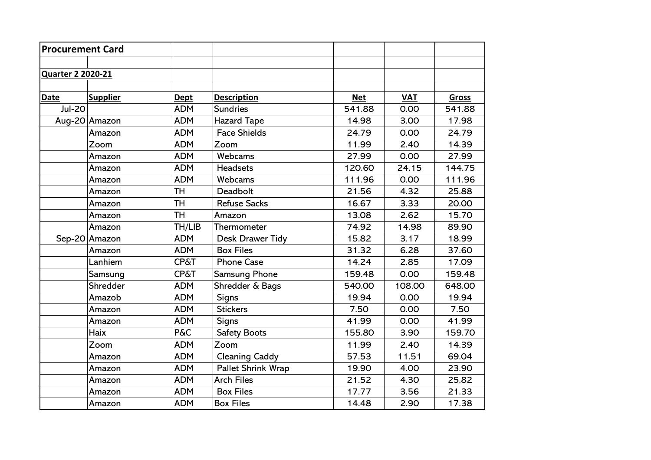| <b>Procurement Card</b>  |                 |                 |                       |            |            |              |
|--------------------------|-----------------|-----------------|-----------------------|------------|------------|--------------|
|                          |                 |                 |                       |            |            |              |
| <b>Quarter 2 2020-21</b> |                 |                 |                       |            |            |              |
|                          |                 |                 |                       |            |            |              |
| <b>Date</b>              | <b>Supplier</b> | <b>Dept</b>     | <b>Description</b>    | <b>Net</b> | <b>VAT</b> | <b>Gross</b> |
| <b>Jul-20</b>            |                 | <b>ADM</b>      | <b>Sundries</b>       | 541.88     | 0.00       | 541.88       |
|                          | Aug-20 Amazon   | <b>ADM</b>      | <b>Hazard Tape</b>    | 14.98      | 3.00       | 17.98        |
|                          | Amazon          | <b>ADM</b>      | <b>Face Shields</b>   | 24.79      | 0.00       | 24.79        |
|                          | Zoom            | <b>ADM</b>      | Zoom                  | 11.99      | 2.40       | 14.39        |
|                          | Amazon          | <b>ADM</b>      | Webcams               | 27.99      | 0.00       | 27.99        |
|                          | Amazon          | <b>ADM</b>      | <b>Headsets</b>       | 120.60     | 24.15      | 144.75       |
|                          | Amazon          | <b>ADM</b>      | Webcams               | 111.96     | 0.00       | 111.96       |
|                          | Amazon          | TH              | Deadbolt              | 21.56      | 4.32       | 25.88        |
|                          | Amazon          | TH              | <b>Refuse Sacks</b>   | 16.67      | 3.33       | 20.00        |
|                          | Amazon          | <b>TH</b>       | Amazon                | 13.08      | 2.62       | 15.70        |
|                          | Amazon          | TH/LIB          | Thermometer           | 74.92      | 14.98      | 89.90        |
|                          | Sep-20 Amazon   | <b>ADM</b>      | Desk Drawer Tidy      | 15.82      | 3.17       | 18.99        |
|                          | Amazon          | <b>ADM</b>      | <b>Box Files</b>      | 31.32      | 6.28       | 37.60        |
|                          | Lanhiem         | <b>CP&amp;T</b> | <b>Phone Case</b>     | 14.24      | 2.85       | 17.09        |
|                          | Samsung         | <b>CP&amp;T</b> | Samsung Phone         | 159.48     | 0.00       | 159.48       |
|                          | Shredder        | <b>ADM</b>      | Shredder & Bags       | 540.00     | 108.00     | 648.00       |
|                          | Amazob          | <b>ADM</b>      | Signs                 | 19.94      | 0.00       | 19.94        |
|                          | Amazon          | <b>ADM</b>      | <b>Stickers</b>       | 7.50       | 0.00       | 7.50         |
|                          | Amazon          | <b>ADM</b>      | <b>Signs</b>          | 41.99      | 0.00       | 41.99        |
|                          | <b>Haix</b>     | <b>P&amp;C</b>  | <b>Safety Boots</b>   | 155.80     | 3.90       | 159.70       |
|                          | Zoom            | <b>ADM</b>      | Zoom                  | 11.99      | 2.40       | 14.39        |
|                          | Amazon          | <b>ADM</b>      | <b>Cleaning Caddy</b> | 57.53      | 11.51      | 69.04        |
|                          | Amazon          | <b>ADM</b>      | Pallet Shrink Wrap    | 19.90      | 4.00       | 23.90        |
|                          | Amazon          | <b>ADM</b>      | <b>Arch Files</b>     | 21.52      | 4.30       | 25.82        |
|                          | Amazon          | <b>ADM</b>      | <b>Box Files</b>      | 17.77      | 3.56       | 21.33        |
|                          | Amazon          | <b>ADM</b>      | <b>Box Files</b>      | 14.48      | 2.90       | 17.38        |